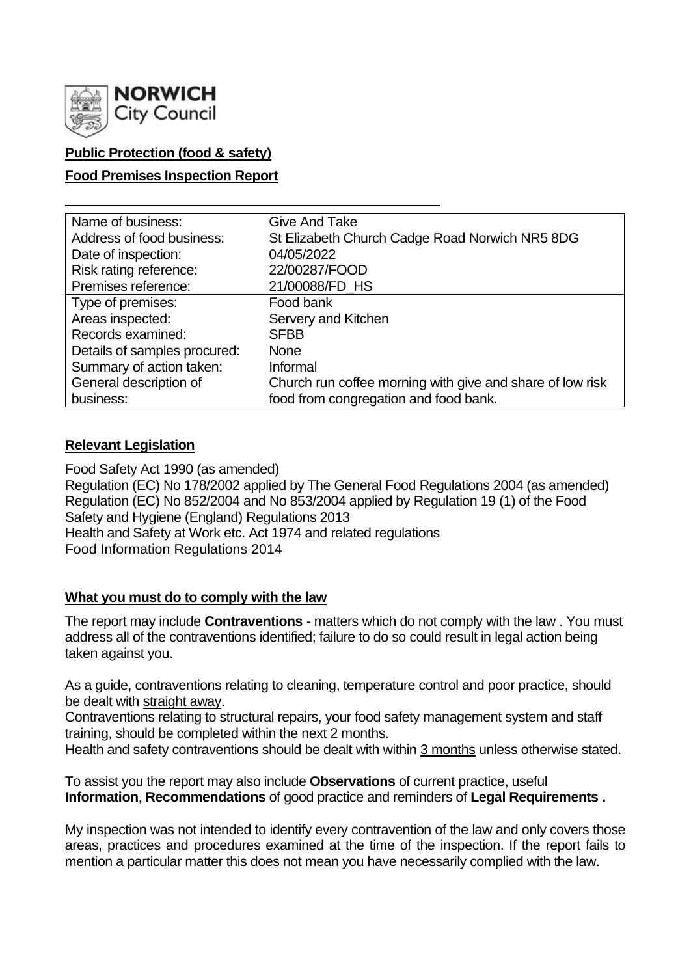

# **Public Protection (food & safety)**

## **Food Premises Inspection Report**

| Name of business:            | <b>Give And Take</b>                                      |
|------------------------------|-----------------------------------------------------------|
| Address of food business:    | St Elizabeth Church Cadge Road Norwich NR5 8DG            |
| Date of inspection:          | 04/05/2022                                                |
| Risk rating reference:       | 22/00287/FOOD                                             |
| Premises reference:          | 21/00088/FD_HS                                            |
| Type of premises:            | Food bank                                                 |
| Areas inspected:             | Servery and Kitchen                                       |
| Records examined:            | <b>SFBB</b>                                               |
| Details of samples procured: | <b>None</b>                                               |
| Summary of action taken:     | Informal                                                  |
| General description of       | Church run coffee morning with give and share of low risk |
| business:                    | food from congregation and food bank.                     |

## **Relevant Legislation**

Food Safety Act 1990 (as amended) Regulation (EC) No 178/2002 applied by The General Food Regulations 2004 (as amended) Regulation (EC) No 852/2004 and No 853/2004 applied by Regulation 19 (1) of the Food Safety and Hygiene (England) Regulations 2013 Health and Safety at Work etc. Act 1974 and related regulations Food Information Regulations 2014

## **What you must do to comply with the law**

The report may include **Contraventions** - matters which do not comply with the law . You must address all of the contraventions identified; failure to do so could result in legal action being taken against you.

As a guide, contraventions relating to cleaning, temperature control and poor practice, should be dealt with straight away.

Contraventions relating to structural repairs, your food safety management system and staff training, should be completed within the next 2 months.

Health and safety contraventions should be dealt with within 3 months unless otherwise stated.

To assist you the report may also include **Observations** of current practice, useful **Information**, **Recommendations** of good practice and reminders of **Legal Requirements .**

My inspection was not intended to identify every contravention of the law and only covers those areas, practices and procedures examined at the time of the inspection. If the report fails to mention a particular matter this does not mean you have necessarily complied with the law.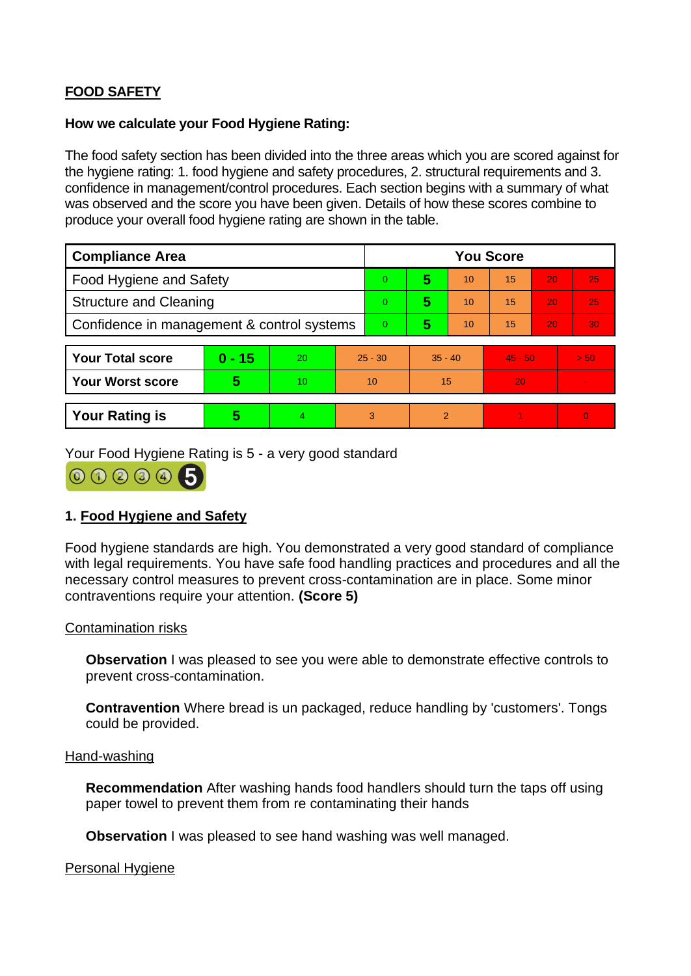# **FOOD SAFETY**

## **How we calculate your Food Hygiene Rating:**

The food safety section has been divided into the three areas which you are scored against for the hygiene rating: 1. food hygiene and safety procedures, 2. structural requirements and 3. confidence in management/control procedures. Each section begins with a summary of what was observed and the score you have been given. Details of how these scores combine to produce your overall food hygiene rating are shown in the table.

| <b>Compliance Area</b>                     |          |    |           | <b>You Score</b> |               |    |           |    |          |  |
|--------------------------------------------|----------|----|-----------|------------------|---------------|----|-----------|----|----------|--|
| <b>Food Hygiene and Safety</b>             |          |    |           | $\overline{0}$   | 5             | 10 | 15        | 20 | 25       |  |
| <b>Structure and Cleaning</b>              |          |    |           | 0                | 5             | 10 | 15        | 20 | 25       |  |
| Confidence in management & control systems |          |    |           | $\overline{0}$   | 5             | 10 | 15        | 20 | 30       |  |
|                                            |          |    |           |                  |               |    |           |    |          |  |
| <b>Your Total score</b>                    | $0 - 15$ | 20 | $25 - 30$ |                  | $35 - 40$     |    | $45 - 50$ |    | > 50     |  |
| <b>Your Worst score</b>                    | 5        | 10 | 10        |                  | 15            |    | 20        |    |          |  |
|                                            |          |    |           |                  |               |    |           |    |          |  |
| <b>Your Rating is</b>                      | 5        | 4  |           | 3                | $\mathcal{P}$ |    |           |    | $\Omega$ |  |

Your Food Hygiene Rating is 5 - a very good standard



# **1. Food Hygiene and Safety**

Food hygiene standards are high. You demonstrated a very good standard of compliance with legal requirements. You have safe food handling practices and procedures and all the necessary control measures to prevent cross-contamination are in place. Some minor contraventions require your attention. **(Score 5)**

## Contamination risks

**Observation** I was pleased to see you were able to demonstrate effective controls to prevent cross-contamination.

**Contravention** Where bread is un packaged, reduce handling by 'customers'. Tongs could be provided.

### Hand-washing

**Recommendation** After washing hands food handlers should turn the taps off using paper towel to prevent them from re contaminating their hands

**Observation** I was pleased to see hand washing was well managed.

## Personal Hygiene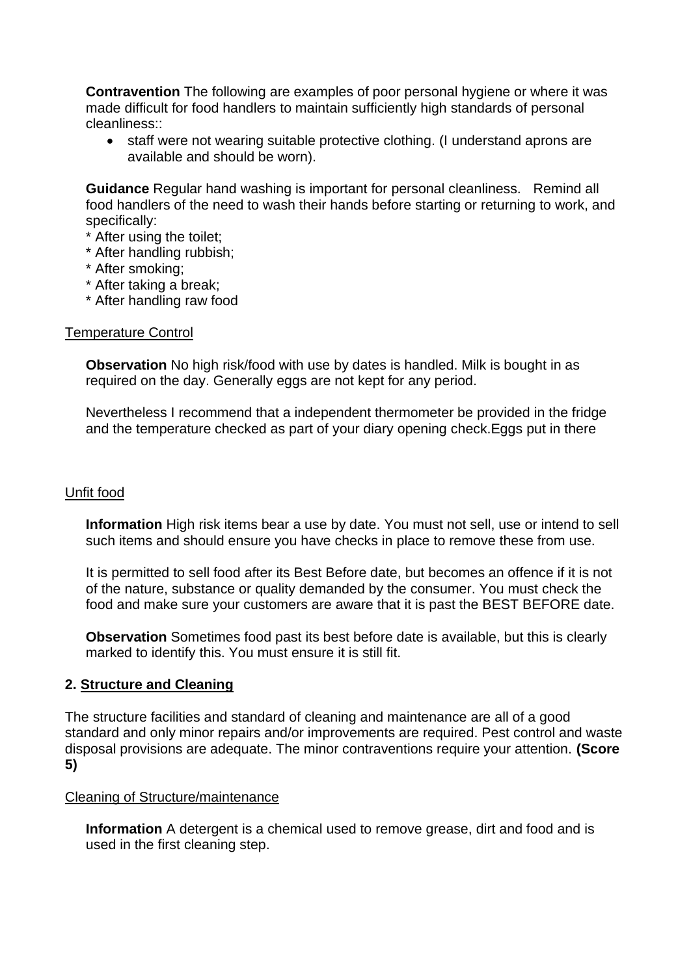**Contravention** The following are examples of poor personal hygiene or where it was made difficult for food handlers to maintain sufficiently high standards of personal cleanliness::

• staff were not wearing suitable protective clothing. (I understand aprons are available and should be worn).

**Guidance** Regular hand washing is important for personal cleanliness. Remind all food handlers of the need to wash their hands before starting or returning to work, and specifically:

- \* After using the toilet;
- \* After handling rubbish;
- \* After smoking;
- \* After taking a break;
- \* After handling raw food

#### Temperature Control

**Observation** No high risk/food with use by dates is handled. Milk is bought in as required on the day. Generally eggs are not kept for any period.

Nevertheless I recommend that a independent thermometer be provided in the fridge and the temperature checked as part of your diary opening check.Eggs put in there

## Unfit food

**Information** High risk items bear a use by date. You must not sell, use or intend to sell such items and should ensure you have checks in place to remove these from use.

It is permitted to sell food after its Best Before date, but becomes an offence if it is not of the nature, substance or quality demanded by the consumer. You must check the food and make sure your customers are aware that it is past the BEST BEFORE date.

**Observation** Sometimes food past its best before date is available, but this is clearly marked to identify this. You must ensure it is still fit.

## **2. Structure and Cleaning**

The structure facilities and standard of cleaning and maintenance are all of a good standard and only minor repairs and/or improvements are required. Pest control and waste disposal provisions are adequate. The minor contraventions require your attention. **(Score 5)**

#### Cleaning of Structure/maintenance

**Information** A detergent is a chemical used to remove grease, dirt and food and is used in the first cleaning step.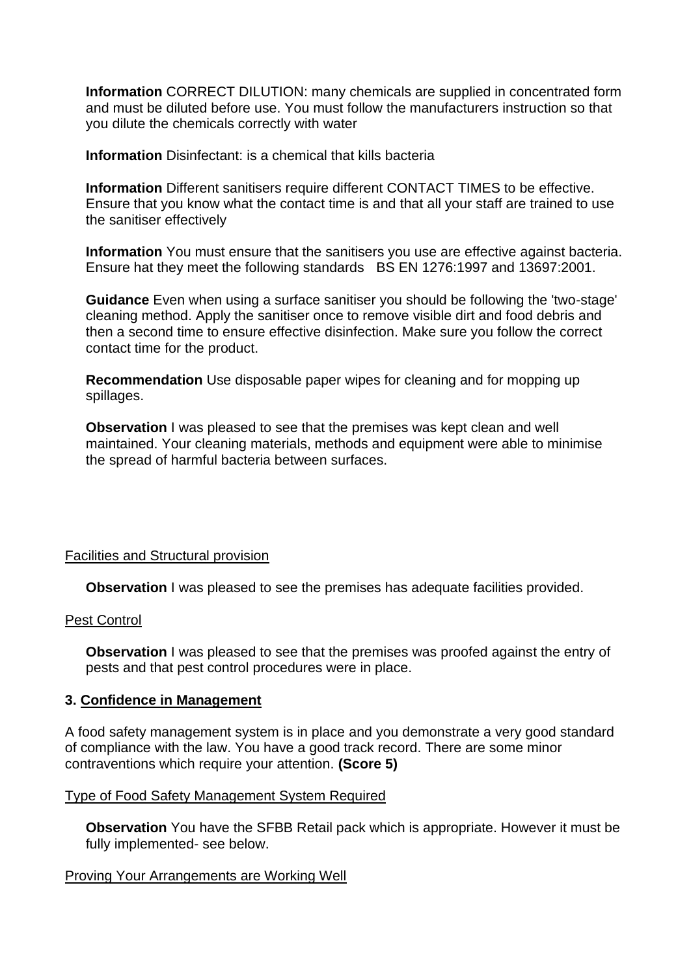**Information** CORRECT DILUTION: many chemicals are supplied in concentrated form and must be diluted before use. You must follow the manufacturers instruction so that you dilute the chemicals correctly with water

**Information** Disinfectant: is a chemical that kills bacteria

**Information** Different sanitisers require different CONTACT TIMES to be effective. Ensure that you know what the contact time is and that all your staff are trained to use the sanitiser effectively

**Information** You must ensure that the sanitisers you use are effective against bacteria. Ensure hat they meet the following standards BS EN 1276:1997 and 13697:2001.

**Guidance** Even when using a surface sanitiser you should be following the 'two-stage' cleaning method. Apply the sanitiser once to remove visible dirt and food debris and then a second time to ensure effective disinfection. Make sure you follow the correct contact time for the product.

**Recommendation** Use disposable paper wipes for cleaning and for mopping up spillages.

**Observation** I was pleased to see that the premises was kept clean and well maintained. Your cleaning materials, methods and equipment were able to minimise the spread of harmful bacteria between surfaces.

## Facilities and Structural provision

**Observation** I was pleased to see the premises has adequate facilities provided.

#### Pest Control

**Observation** I was pleased to see that the premises was proofed against the entry of pests and that pest control procedures were in place.

#### **3. Confidence in Management**

A food safety management system is in place and you demonstrate a very good standard of compliance with the law. You have a good track record. There are some minor contraventions which require your attention. **(Score 5)**

## Type of Food Safety Management System Required

**Observation** You have the SFBB Retail pack which is appropriate. However it must be fully implemented- see below.

#### Proving Your Arrangements are Working Well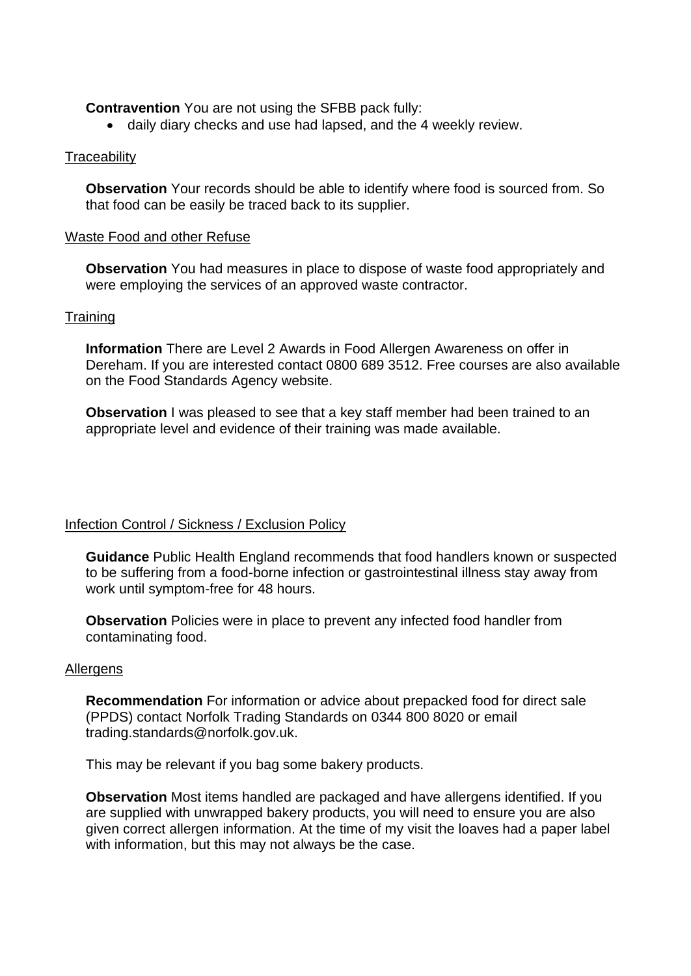**Contravention** You are not using the SFBB pack fully:

• daily diary checks and use had lapsed, and the 4 weekly review.

### **Traceability**

**Observation** Your records should be able to identify where food is sourced from. So that food can be easily be traced back to its supplier.

#### Waste Food and other Refuse

**Observation** You had measures in place to dispose of waste food appropriately and were employing the services of an approved waste contractor.

### **Training**

**Information** There are Level 2 Awards in Food Allergen Awareness on offer in Dereham. If you are interested contact 0800 689 3512. Free courses are also available on the Food Standards Agency website.

**Observation** I was pleased to see that a key staff member had been trained to an appropriate level and evidence of their training was made available.

## Infection Control / Sickness / Exclusion Policy

**Guidance** Public Health England recommends that food handlers known or suspected to be suffering from a food-borne infection or gastrointestinal illness stay away from work until symptom-free for 48 hours.

**Observation** Policies were in place to prevent any infected food handler from contaminating food.

#### **Allergens**

**Recommendation** For information or advice about prepacked food for direct sale (PPDS) contact Norfolk Trading Standards on 0344 800 8020 or email trading.standards@norfolk.gov.uk.

This may be relevant if you bag some bakery products.

**Observation** Most items handled are packaged and have allergens identified. If you are supplied with unwrapped bakery products, you will need to ensure you are also given correct allergen information. At the time of my visit the loaves had a paper label with information, but this may not always be the case.